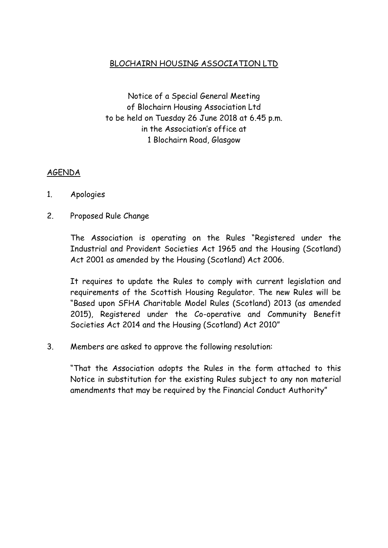## BLOCHAIRN HOUSING ASSOCIATION LTD

Notice of a Special General Meeting of Blochairn Housing Association Ltd to be held on Tuesday 26 June 2018 at 6.45 p.m. in the Association's office at 1 Blochairn Road, Glasgow

## AGENDA

- 1. Apologies
- 2. Proposed Rule Change

The Association is operating on the Rules "Registered under the Industrial and Provident Societies Act 1965 and the Housing (Scotland) Act 2001 as amended by the Housing (Scotland) Act 2006.

It requires to update the Rules to comply with current legislation and requirements of the Scottish Housing Regulator. The new Rules will be "Based upon SFHA Charitable Model Rules (Scotland) 2013 (as amended 2015), Registered under the Co-operative and Community Benefit Societies Act 2014 and the Housing (Scotland) Act 2010"

3. Members are asked to approve the following resolution:

"That the Association adopts the Rules in the form attached to this Notice in substitution for the existing Rules subject to any non material amendments that may be required by the Financial Conduct Authority"